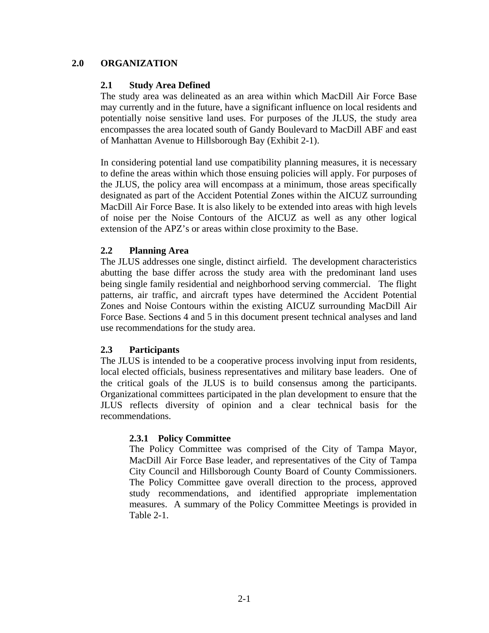# **2.0 ORGANIZATION**

# **2.1 Study Area Defined**

The study area was delineated as an area within which MacDill Air Force Base may currently and in the future, have a significant influence on local residents and potentially noise sensitive land uses. For purposes of the JLUS, the study area encompasses the area located south of Gandy Boulevard to MacDill ABF and east of Manhattan Avenue to Hillsborough Bay (Exhibit 2-1).

In considering potential land use compatibility planning measures, it is necessary to define the areas within which those ensuing policies will apply. For purposes of the JLUS, the policy area will encompass at a minimum, those areas specifically designated as part of the Accident Potential Zones within the AICUZ surrounding MacDill Air Force Base. It is also likely to be extended into areas with high levels of noise per the Noise Contours of the AICUZ as well as any other logical extension of the APZ's or areas within close proximity to the Base.

### **2.2 Planning Area**

The JLUS addresses one single, distinct airfield. The development characteristics abutting the base differ across the study area with the predominant land uses being single family residential and neighborhood serving commercial. The flight patterns, air traffic, and aircraft types have determined the Accident Potential Zones and Noise Contours within the existing AICUZ surrounding MacDill Air Force Base. Sections 4 and 5 in this document present technical analyses and land use recommendations for the study area.

# **2.3 Participants**

The JLUS is intended to be a cooperative process involving input from residents, local elected officials, business representatives and military base leaders. One of the critical goals of the JLUS is to build consensus among the participants. Organizational committees participated in the plan development to ensure that the JLUS reflects diversity of opinion and a clear technical basis for the recommendations.

#### **2.3.1 Policy Committee**

The Policy Committee was comprised of the City of Tampa Mayor, MacDill Air Force Base leader, and representatives of the City of Tampa City Council and Hillsborough County Board of County Commissioners. The Policy Committee gave overall direction to the process, approved study recommendations, and identified appropriate implementation measures. A summary of the Policy Committee Meetings is provided in Table 2-1.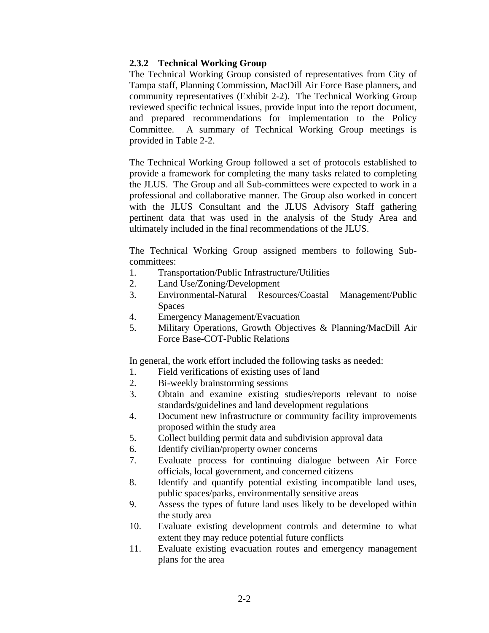# **2.3.2 Technical Working Group**

The Technical Working Group consisted of representatives from City of Tampa staff, Planning Commission, MacDill Air Force Base planners, and community representatives (Exhibit 2-2). The Technical Working Group reviewed specific technical issues, provide input into the report document, and prepared recommendations for implementation to the Policy Committee. A summary of Technical Working Group meetings is provided in Table 2-2.

The Technical Working Group followed a set of protocols established to provide a framework for completing the many tasks related to completing the JLUS. The Group and all Sub-committees were expected to work in a professional and collaborative manner. The Group also worked in concert with the JLUS Consultant and the JLUS Advisory Staff gathering pertinent data that was used in the analysis of the Study Area and ultimately included in the final recommendations of the JLUS.

The Technical Working Group assigned members to following Subcommittees:

- 1. Transportation/Public Infrastructure/Utilities
- 2. Land Use/Zoning/Development
- 3. Environmental-Natural Resources/Coastal Management/Public Spaces
- 4. Emergency Management/Evacuation
- 5. Military Operations, Growth Objectives & Planning/MacDill Air Force Base-COT-Public Relations

In general, the work effort included the following tasks as needed:

- 1. Field verifications of existing uses of land
- 2. Bi-weekly brainstorming sessions
- 3. Obtain and examine existing studies/reports relevant to noise standards/guidelines and land development regulations
- 4. Document new infrastructure or community facility improvements proposed within the study area
- 5. Collect building permit data and subdivision approval data
- 6. Identify civilian/property owner concerns
- 7. Evaluate process for continuing dialogue between Air Force officials, local government, and concerned citizens
- 8. Identify and quantify potential existing incompatible land uses, public spaces/parks, environmentally sensitive areas
- 9. Assess the types of future land uses likely to be developed within the study area
- 10. Evaluate existing development controls and determine to what extent they may reduce potential future conflicts
- 11. Evaluate existing evacuation routes and emergency management plans for the area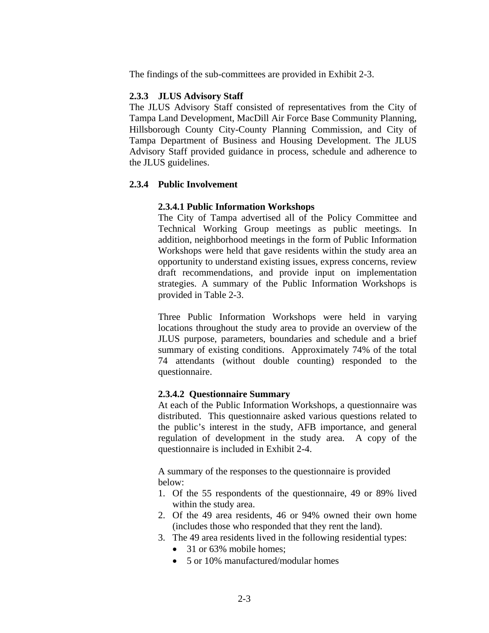The findings of the sub-committees are provided in Exhibit 2-3.

# **2.3.3 JLUS Advisory Staff**

The JLUS Advisory Staff consisted of representatives from the City of Tampa Land Development, MacDill Air Force Base Community Planning, Hillsborough County City-County Planning Commission, and City of Tampa Department of Business and Housing Development. The JLUS Advisory Staff provided guidance in process, schedule and adherence to the JLUS guidelines.

# **2.3.4 Public Involvement**

# **2.3.4.1 Public Information Workshops**

The City of Tampa advertised all of the Policy Committee and Technical Working Group meetings as public meetings. In addition, neighborhood meetings in the form of Public Information Workshops were held that gave residents within the study area an opportunity to understand existing issues, express concerns, review draft recommendations, and provide input on implementation strategies. A summary of the Public Information Workshops is provided in Table 2-3.

Three Public Information Workshops were held in varying locations throughout the study area to provide an overview of the JLUS purpose, parameters, boundaries and schedule and a brief summary of existing conditions. Approximately 74% of the total 74 attendants (without double counting) responded to the questionnaire.

# **2.3.4.2 Questionnaire Summary**

At each of the Public Information Workshops, a questionnaire was distributed. This questionnaire asked various questions related to the public's interest in the study, AFB importance, and general regulation of development in the study area. A copy of the questionnaire is included in Exhibit 2-4.

A summary of the responses to the questionnaire is provided below:

- 1. Of the 55 respondents of the questionnaire, 49 or 89% lived within the study area.
- 2. Of the 49 area residents, 46 or 94% owned their own home (includes those who responded that they rent the land).
- 3. The 49 area residents lived in the following residential types:
	- 31 or 63% mobile homes:
	- 5 or 10% manufactured/modular homes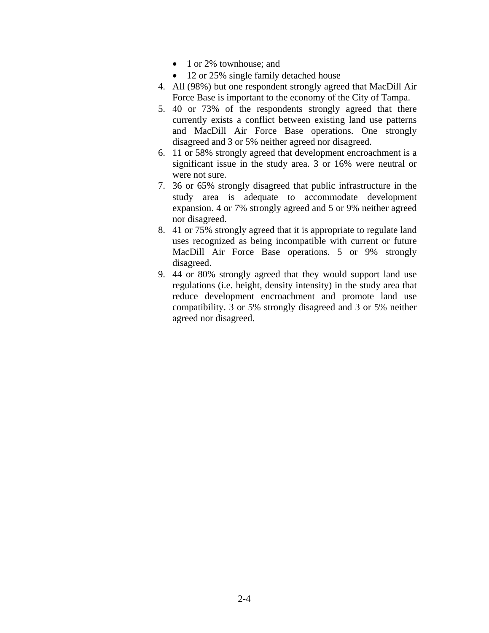- 1 or 2% townhouse; and
- 12 or 25% single family detached house
- 4. All (98%) but one respondent strongly agreed that MacDill Air Force Base is important to the economy of the City of Tampa.
- 5. 40 or 73% of the respondents strongly agreed that there currently exists a conflict between existing land use patterns and MacDill Air Force Base operations. One strongly disagreed and 3 or 5% neither agreed nor disagreed.
- 6. 11 or 58% strongly agreed that development encroachment is a significant issue in the study area. 3 or 16% were neutral or were not sure.
- 7. 36 or 65% strongly disagreed that public infrastructure in the study area is adequate to accommodate development expansion. 4 or 7% strongly agreed and 5 or 9% neither agreed nor disagreed.
- 8. 41 or 75% strongly agreed that it is appropriate to regulate land uses recognized as being incompatible with current or future MacDill Air Force Base operations. 5 or 9% strongly disagreed.
- 9. 44 or 80% strongly agreed that they would support land use regulations (i.e. height, density intensity) in the study area that reduce development encroachment and promote land use compatibility. 3 or 5% strongly disagreed and 3 or 5% neither agreed nor disagreed.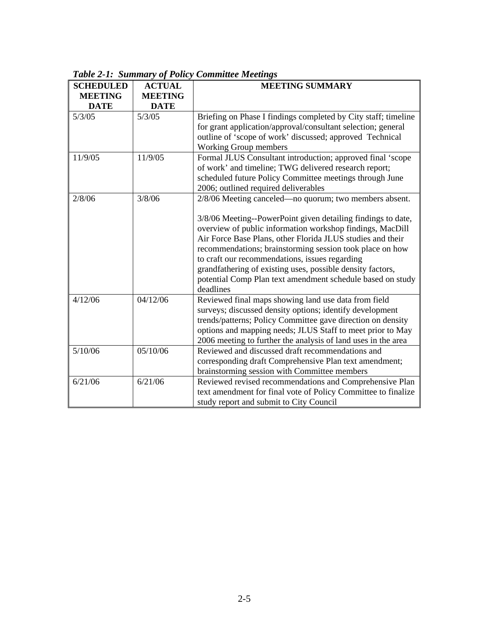| <b>SCHEDULED</b> | <b>ACTUAL</b>  | <b>MEETING SUMMARY</b>                                         |  |
|------------------|----------------|----------------------------------------------------------------|--|
| <b>MEETING</b>   | <b>MEETING</b> |                                                                |  |
| <b>DATE</b>      | <b>DATE</b>    |                                                                |  |
| 5/3/05           | 5/3/05         | Briefing on Phase I findings completed by City staff; timeline |  |
|                  |                | for grant application/approval/consultant selection; general   |  |
|                  |                | outline of 'scope of work' discussed; approved Technical       |  |
|                  |                | Working Group members                                          |  |
| 11/9/05          | 11/9/05        | Formal JLUS Consultant introduction; approved final 'scope     |  |
|                  |                | of work' and timeline; TWG delivered research report;          |  |
|                  |                | scheduled future Policy Committee meetings through June        |  |
|                  |                | 2006; outlined required deliverables                           |  |
| 2/8/06           | 3/8/06         | 2/8/06 Meeting canceled—no quorum; two members absent.         |  |
|                  |                | 3/8/06 Meeting--PowerPoint given detailing findings to date,   |  |
|                  |                | overview of public information workshop findings, MacDill      |  |
|                  |                | Air Force Base Plans, other Florida JLUS studies and their     |  |
|                  |                | recommendations; brainstorming session took place on how       |  |
|                  |                | to craft our recommendations, issues regarding                 |  |
|                  |                | grandfathering of existing uses, possible density factors,     |  |
|                  |                | potential Comp Plan text amendment schedule based on study     |  |
|                  |                | deadlines                                                      |  |
| 4/12/06          | 04/12/06       | Reviewed final maps showing land use data from field           |  |
|                  |                | surveys; discussed density options; identify development       |  |
|                  |                | trends/patterns; Policy Committee gave direction on density    |  |
|                  |                | options and mapping needs; JLUS Staff to meet prior to May     |  |
|                  |                | 2006 meeting to further the analysis of land uses in the area  |  |
| 5/10/06          | 05/10/06       | Reviewed and discussed draft recommendations and               |  |
|                  |                | corresponding draft Comprehensive Plan text amendment;         |  |
|                  |                | brainstorming session with Committee members                   |  |
| 6/21/06          | 6/21/06        | Reviewed revised recommendations and Comprehensive Plan        |  |
|                  |                | text amendment for final vote of Policy Committee to finalize  |  |
|                  |                | study report and submit to City Council                        |  |

*Table 2-1: Summary of Policy Committee Meetings*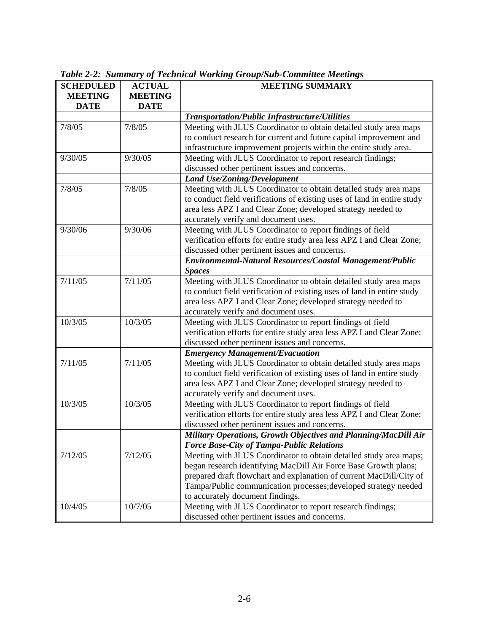| <b>SCHEDULED</b>   | <b>ACTUAL</b>  | тала 2-2. Бишнагу ор тесникаг ногмих оговрдог соштаас тесних з<br><b>MEETING SUMMARY</b> |  |
|--------------------|----------------|------------------------------------------------------------------------------------------|--|
| <b>MEETING</b>     | <b>MEETING</b> |                                                                                          |  |
| <b>DATE</b>        | <b>DATE</b>    |                                                                                          |  |
|                    |                | Transportation/Public Infrastructure/Utilities                                           |  |
| 7/8/05             | 7/8/05         | Meeting with JLUS Coordinator to obtain detailed study area maps                         |  |
|                    |                | to conduct research for current and future capital improvement and                       |  |
|                    |                | infrastructure improvement projects within the entire study area.                        |  |
| 9/30/05<br>9/30/05 |                | Meeting with JLUS Coordinator to report research findings;                               |  |
|                    |                | discussed other pertinent issues and concerns.                                           |  |
|                    |                | <b>Land Use/Zoning/Development</b>                                                       |  |
| 7/8/05             | 7/8/05         | Meeting with JLUS Coordinator to obtain detailed study area maps                         |  |
|                    |                | to conduct field verifications of existing uses of land in entire study                  |  |
|                    |                | area less APZ I and Clear Zone; developed strategy needed to                             |  |
|                    |                | accurately verify and document uses.                                                     |  |
| 9/30/06            | 9/30/06        | Meeting with JLUS Coordinator to report findings of field                                |  |
|                    |                | verification efforts for entire study area less APZ I and Clear Zone;                    |  |
|                    |                | discussed other pertinent issues and concerns.                                           |  |
|                    |                | Environmental-Natural Resources/Coastal Management/Public                                |  |
|                    |                | <b>Spaces</b>                                                                            |  |
| 7/11/05            | 7/11/05        | Meeting with JLUS Coordinator to obtain detailed study area maps                         |  |
|                    |                | to conduct field verification of existing uses of land in entire study                   |  |
|                    |                | area less APZ I and Clear Zone; developed strategy needed to                             |  |
|                    |                | accurately verify and document uses.                                                     |  |
| 10/3/05            | 10/3/05        | Meeting with JLUS Coordinator to report findings of field                                |  |
|                    |                | verification efforts for entire study area less APZ I and Clear Zone;                    |  |
|                    |                | discussed other pertinent issues and concerns.                                           |  |
|                    |                | <b>Emergency Management/Evacuation</b>                                                   |  |
| 7/11/05            | 7/11/05        | Meeting with JLUS Coordinator to obtain detailed study area maps                         |  |
|                    |                | to conduct field verification of existing uses of land in entire study                   |  |
|                    |                | area less APZ I and Clear Zone; developed strategy needed to                             |  |
|                    |                | accurately verify and document uses.                                                     |  |
| 10/3/05            | 10/3/05        | Meeting with JLUS Coordinator to report findings of field                                |  |
|                    |                | verification efforts for entire study area less APZ I and Clear Zone;                    |  |
|                    |                | discussed other pertinent issues and concerns.                                           |  |
|                    |                | Military Operations, Growth Objectives and Planning/MacDill Air                          |  |
|                    |                | <b>Force Base-City of Tampa-Public Relations</b>                                         |  |
| 7/12/05            | 7/12/05        | Meeting with JLUS Coordinator to obtain detailed study area maps;                        |  |
|                    |                | began research identifying MacDill Air Force Base Growth plans;                          |  |
|                    |                | prepared draft flowchart and explanation of current MacDill/City of                      |  |
|                    |                | Tampa/Public communication processes; developed strategy needed                          |  |
|                    |                | to accurately document findings.                                                         |  |
| 10/4/05            | 10/7/05        | Meeting with JLUS Coordinator to report research findings;                               |  |
|                    |                | discussed other pertinent issues and concerns.                                           |  |

*Table 2-2: Summary of Technical Working Group/Sub-Committee Meetings*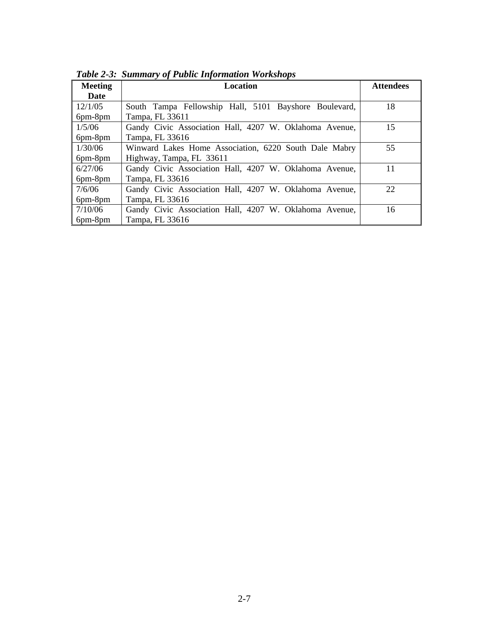| <b>Meeting</b> | Location                                               | <b>Attendees</b> |
|----------------|--------------------------------------------------------|------------------|
| Date           |                                                        |                  |
| 12/1/05        | South Tampa Fellowship Hall, 5101 Bayshore Boulevard,  | 18               |
| 6pm-8pm        | Tampa, FL 33611                                        |                  |
| 1/5/06         | Gandy Civic Association Hall, 4207 W. Oklahoma Avenue, | 15               |
| 6pm-8pm        | Tampa, FL 33616                                        |                  |
| 1/30/06        | Winward Lakes Home Association, 6220 South Dale Mabry  | 55               |
| $6pm-8pm$      | Highway, Tampa, FL 33611                               |                  |
| 6/27/06        | Gandy Civic Association Hall, 4207 W. Oklahoma Avenue, | 11               |
| 6pm-8pm        | Tampa, FL 33616                                        |                  |
| 7/6/06         | Gandy Civic Association Hall, 4207 W. Oklahoma Avenue, | 22               |
| 6pm-8pm        | Tampa, FL 33616                                        |                  |
| 7/10/06        | Gandy Civic Association Hall, 4207 W. Oklahoma Avenue, | 16               |
| 6pm-8pm        | Tampa, FL 33616                                        |                  |

*Table 2-3: Summary of Public Information Workshops*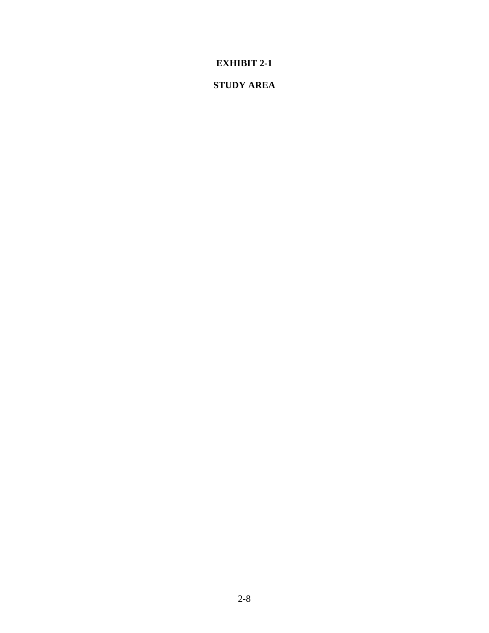# **STUDY AREA**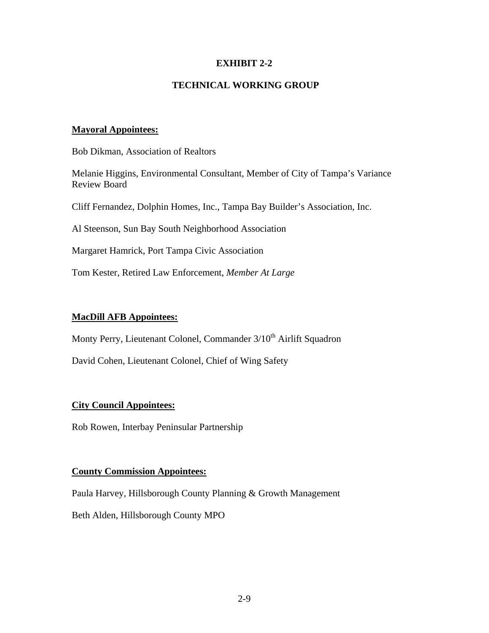# **TECHNICAL WORKING GROUP**

### **Mayoral Appointees:**

Bob Dikman, Association of Realtors

Melanie Higgins, Environmental Consultant, Member of City of Tampa's Variance Review Board

Cliff Fernandez, Dolphin Homes, Inc., Tampa Bay Builder's Association, Inc.

Al Steenson, Sun Bay South Neighborhood Association

Margaret Hamrick, Port Tampa Civic Association

Tom Kester, Retired Law Enforcement, *Member At Large* 

### **MacDill AFB Appointees:**

Monty Perry, Lieutenant Colonel, Commander 3/10<sup>th</sup> Airlift Squadron

David Cohen, Lieutenant Colonel, Chief of Wing Safety

# **City Council Appointees:**

Rob Rowen, Interbay Peninsular Partnership

### **County Commission Appointees:**

Paula Harvey, Hillsborough County Planning & Growth Management

Beth Alden, Hillsborough County MPO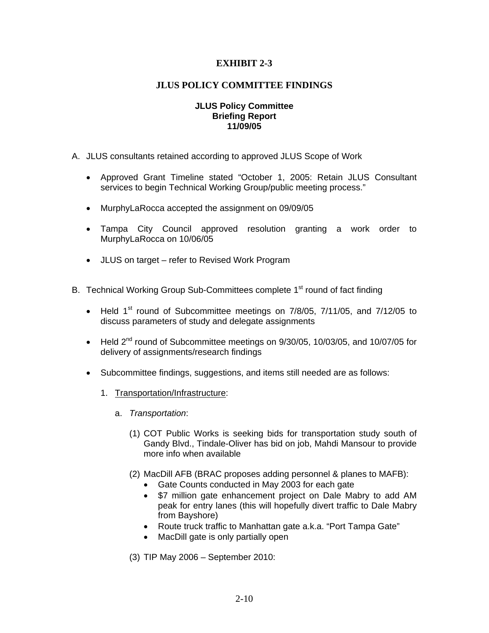### **JLUS POLICY COMMITTEE FINDINGS**

#### **JLUS Policy Committee Briefing Report 11/09/05**

- A. JLUS consultants retained according to approved JLUS Scope of Work
	- Approved Grant Timeline stated "October 1, 2005: Retain JLUS Consultant services to begin Technical Working Group/public meeting process."
	- MurphyLaRocca accepted the assignment on 09/09/05
	- Tampa City Council approved resolution granting a work order to MurphyLaRocca on 10/06/05
	- JLUS on target refer to Revised Work Program
- B. Technical Working Group Sub-Committees complete 1<sup>st</sup> round of fact finding
	- Held  $1<sup>st</sup>$  round of Subcommittee meetings on  $7/8/05$ ,  $7/11/05$ , and  $7/12/05$  to discuss parameters of study and delegate assignments
	- Held  $2^{nd}$  round of Subcommittee meetings on  $9/30/05$ , 10/03/05, and 10/07/05 for delivery of assignments/research findings
	- Subcommittee findings, suggestions, and items still needed are as follows:
		- 1. Transportation/Infrastructure:
			- a. *Transportation*:
				- (1) COT Public Works is seeking bids for transportation study south of Gandy Blvd., Tindale-Oliver has bid on job, Mahdi Mansour to provide more info when available
				- (2) MacDill AFB (BRAC proposes adding personnel & planes to MAFB):
					- Gate Counts conducted in May 2003 for each gate
					- \$7 million gate enhancement project on Dale Mabry to add AM peak for entry lanes (this will hopefully divert traffic to Dale Mabry from Bayshore)
					- Route truck traffic to Manhattan gate a.k.a. "Port Tampa Gate"
					- MacDill gate is only partially open

(3) TIP May 2006 – September 2010: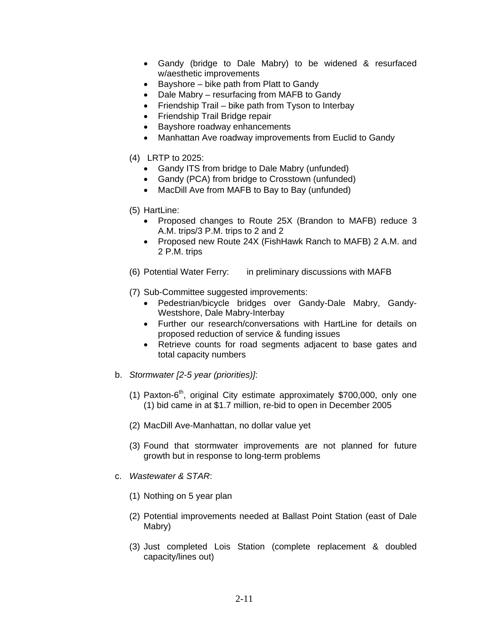- Gandy (bridge to Dale Mabry) to be widened & resurfaced w/aesthetic improvements
- Bayshore bike path from Platt to Gandy
- Dale Mabry resurfacing from MAFB to Gandy
- Friendship Trail bike path from Tyson to Interbay
- Friendship Trail Bridge repair
- Bayshore roadway enhancements
- Manhattan Ave roadway improvements from Euclid to Gandy
- (4) LRTP to 2025:
	- Gandy ITS from bridge to Dale Mabry (unfunded)
	- Gandy (PCA) from bridge to Crosstown (unfunded)
	- MacDill Ave from MAFB to Bay to Bay (unfunded)
- (5) HartLine:
	- Proposed changes to Route 25X (Brandon to MAFB) reduce 3 A.M. trips/3 P.M. trips to 2 and 2
	- Proposed new Route 24X (FishHawk Ranch to MAFB) 2 A.M. and 2 P.M. trips
- (6) Potential Water Ferry: in preliminary discussions with MAFB
- (7) Sub-Committee suggested improvements:
	- Pedestrian/bicycle bridges over Gandy-Dale Mabry, Gandy-Westshore, Dale Mabry-Interbay
	- Further our research/conversations with HartLine for details on proposed reduction of service & funding issues
	- Retrieve counts for road segments adjacent to base gates and total capacity numbers
- b. *Stormwater [2-5 year (priorities)]*:
	- (1) Paxton- $6<sup>th</sup>$ , original City estimate approximately \$700,000, only one (1) bid came in at \$1.7 million, re-bid to open in December 2005
	- (2) MacDill Ave-Manhattan, no dollar value yet
	- (3) Found that stormwater improvements are not planned for future growth but in response to long-term problems
- c. *Wastewater & STAR*:
	- (1) Nothing on 5 year plan
	- (2) Potential improvements needed at Ballast Point Station (east of Dale Mabry)
	- (3) Just completed Lois Station (complete replacement & doubled capacity/lines out)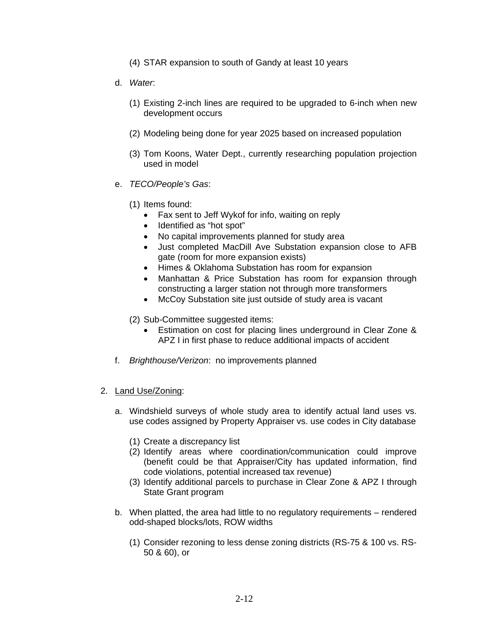- (4) STAR expansion to south of Gandy at least 10 years
- d. *Water*:
	- (1) Existing 2-inch lines are required to be upgraded to 6-inch when new development occurs
	- (2) Modeling being done for year 2025 based on increased population
	- (3) Tom Koons, Water Dept., currently researching population projection used in model
- e. *TECO/People's Gas*:
	- (1) Items found:
		- Fax sent to Jeff Wykof for info, waiting on reply
		- Identified as "hot spot"
		- No capital improvements planned for study area
		- Just completed MacDill Ave Substation expansion close to AFB gate (room for more expansion exists)
		- Himes & Oklahoma Substation has room for expansion
		- Manhattan & Price Substation has room for expansion through constructing a larger station not through more transformers
		- McCoy Substation site just outside of study area is vacant
	- (2) Sub-Committee suggested items:
		- Estimation on cost for placing lines underground in Clear Zone & APZ I in first phase to reduce additional impacts of accident
- f. *Brighthouse/Verizon*: no improvements planned
- 2. Land Use/Zoning:
	- a. Windshield surveys of whole study area to identify actual land uses vs. use codes assigned by Property Appraiser vs. use codes in City database
		- (1) Create a discrepancy list
		- (2) Identify areas where coordination/communication could improve (benefit could be that Appraiser/City has updated information, find code violations, potential increased tax revenue)
		- (3) Identify additional parcels to purchase in Clear Zone & APZ I through State Grant program
	- b. When platted, the area had little to no regulatory requirements rendered odd-shaped blocks/lots, ROW widths
		- (1) Consider rezoning to less dense zoning districts (RS-75 & 100 vs. RS-50 & 60), or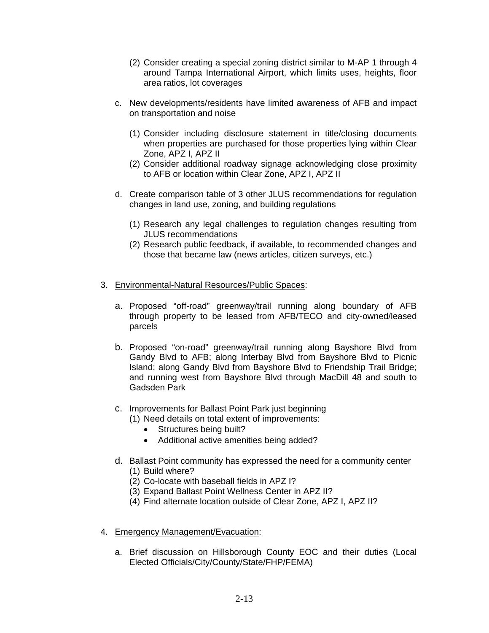- (2) Consider creating a special zoning district similar to M-AP 1 through 4 around Tampa International Airport, which limits uses, heights, floor area ratios, lot coverages
- c. New developments/residents have limited awareness of AFB and impact on transportation and noise
	- (1) Consider including disclosure statement in title/closing documents when properties are purchased for those properties lying within Clear Zone, APZ I, APZ II
	- (2) Consider additional roadway signage acknowledging close proximity to AFB or location within Clear Zone, APZ I, APZ II
- d. Create comparison table of 3 other JLUS recommendations for regulation changes in land use, zoning, and building regulations
	- (1) Research any legal challenges to regulation changes resulting from JLUS recommendations
	- (2) Research public feedback, if available, to recommended changes and those that became law (news articles, citizen surveys, etc.)
- 3. Environmental-Natural Resources/Public Spaces:
	- a. Proposed "off-road" greenway/trail running along boundary of AFB through property to be leased from AFB/TECO and city-owned/leased parcels
	- b. Proposed "on-road" greenway/trail running along Bayshore Blvd from Gandy Blvd to AFB; along Interbay Blvd from Bayshore Blvd to Picnic Island; along Gandy Blvd from Bayshore Blvd to Friendship Trail Bridge; and running west from Bayshore Blvd through MacDill 48 and south to Gadsden Park
	- c. Improvements for Ballast Point Park just beginning
		- (1) Need details on total extent of improvements:
			- Structures being built?
			- Additional active amenities being added?
	- d. Ballast Point community has expressed the need for a community center (1) Build where?
		- (2) Co-locate with baseball fields in APZ I?
		- (3) Expand Ballast Point Wellness Center in APZ II?
		- (4) Find alternate location outside of Clear Zone, APZ I, APZ II?
- 4. Emergency Management/Evacuation:
	- a. Brief discussion on Hillsborough County EOC and their duties (Local Elected Officials/City/County/State/FHP/FEMA)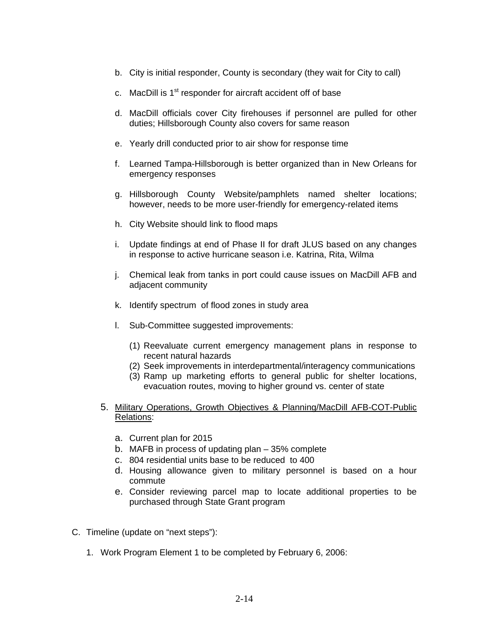- b. City is initial responder, County is secondary (they wait for City to call)
- c. MacDill is 1<sup>st</sup> responder for aircraft accident off of base
- d. MacDill officials cover City firehouses if personnel are pulled for other duties; Hillsborough County also covers for same reason
- e. Yearly drill conducted prior to air show for response time
- f. Learned Tampa-Hillsborough is better organized than in New Orleans for emergency responses
- g. Hillsborough County Website/pamphlets named shelter locations; however, needs to be more user-friendly for emergency-related items
- h. City Website should link to flood maps
- i. Update findings at end of Phase II for draft JLUS based on any changes in response to active hurricane season i.e. Katrina, Rita, Wilma
- j. Chemical leak from tanks in port could cause issues on MacDill AFB and adjacent community
- k. Identify spectrum of flood zones in study area
- l. Sub-Committee suggested improvements:
	- (1) Reevaluate current emergency management plans in response to recent natural hazards
	- (2) Seek improvements in interdepartmental/interagency communications
	- (3) Ramp up marketing efforts to general public for shelter locations, evacuation routes, moving to higher ground vs. center of state
- 5. Military Operations, Growth Objectives & Planning/MacDill AFB-COT-Public Relations:
	- a. Current plan for 2015
	- b. MAFB in process of updating plan 35% complete
	- c. 804 residential units base to be reduced to 400
	- d. Housing allowance given to military personnel is based on a hour commute
	- e. Consider reviewing parcel map to locate additional properties to be purchased through State Grant program
- C. Timeline (update on "next steps"):
	- 1. Work Program Element 1 to be completed by February 6, 2006: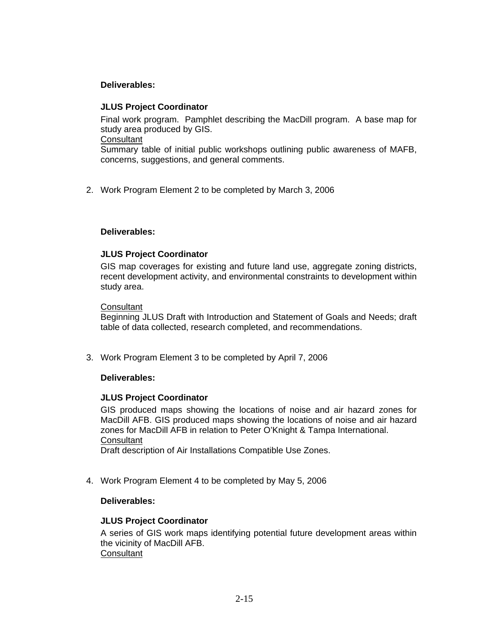# **Deliverables:**

### **JLUS Project Coordinator**

Final work program. Pamphlet describing the MacDill program. A base map for study area produced by GIS. **Consultant** Summary table of initial public workshops outlining public awareness of MAFB,

concerns, suggestions, and general comments.

2. Work Program Element 2 to be completed by March 3, 2006

# **Deliverables:**

# **JLUS Project Coordinator**

GIS map coverages for existing and future land use, aggregate zoning districts, recent development activity, and environmental constraints to development within study area.

#### **Consultant**

Beginning JLUS Draft with Introduction and Statement of Goals and Needs; draft table of data collected, research completed, and recommendations.

3. Work Program Element 3 to be completed by April 7, 2006

# **Deliverables:**

#### **JLUS Project Coordinator**

GIS produced maps showing the locations of noise and air hazard zones for MacDill AFB. GIS produced maps showing the locations of noise and air hazard zones for MacDill AFB in relation to Peter O'Knight & Tampa International. **Consultant** 

Draft description of Air Installations Compatible Use Zones.

4. Work Program Element 4 to be completed by May 5, 2006

# **Deliverables:**

# **JLUS Project Coordinator**

A series of GIS work maps identifying potential future development areas within the vicinity of MacDill AFB. **Consultant**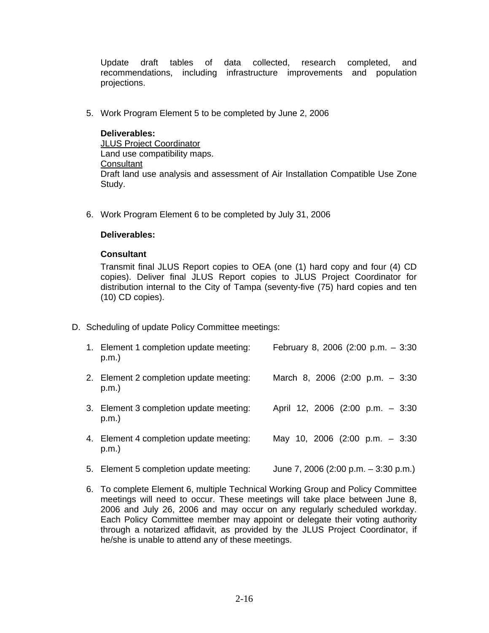Update draft tables of data collected, research completed, and recommendations, including infrastructure improvements and population projections.

5. Work Program Element 5 to be completed by June 2, 2006

**Deliverables:**  JLUS Project Coordinator Land use compatibility maps. **Consultant** Draft land use analysis and assessment of Air Installation Compatible Use Zone Study.

6. Work Program Element 6 to be completed by July 31, 2006

### **Deliverables:**

### **Consultant**

Transmit final JLUS Report copies to OEA (one (1) hard copy and four (4) CD copies). Deliver final JLUS Report copies to JLUS Project Coordinator for distribution internal to the City of Tampa (seventy-five (75) hard copies and ten (10) CD copies).

D. Scheduling of update Policy Committee meetings:

| 1. Element 1 completion update meeting:<br>p.m.     | February 8, 2006 (2:00 p.m. $-3:30$        |
|-----------------------------------------------------|--------------------------------------------|
| 2. Element 2 completion update meeting:<br>$p.m.$ ) | March 8, 2006 $(2:00 \text{ p.m.} - 3:30)$ |
| 3. Element 3 completion update meeting:<br>p.m.     | April 12, 2006 (2:00 p.m. - 3:30           |
| 4. Element 4 completion update meeting:<br>p.m.     | May 10, 2006 (2:00 p.m. - 3:30             |
| 5. Element 5 completion update meeting:             | June 7, 2006 (2:00 p.m. $-$ 3:30 p.m.)     |

6. To complete Element 6, multiple Technical Working Group and Policy Committee meetings will need to occur. These meetings will take place between June 8, 2006 and July 26, 2006 and may occur on any regularly scheduled workday. Each Policy Committee member may appoint or delegate their voting authority through a notarized affidavit, as provided by the JLUS Project Coordinator, if he/she is unable to attend any of these meetings.